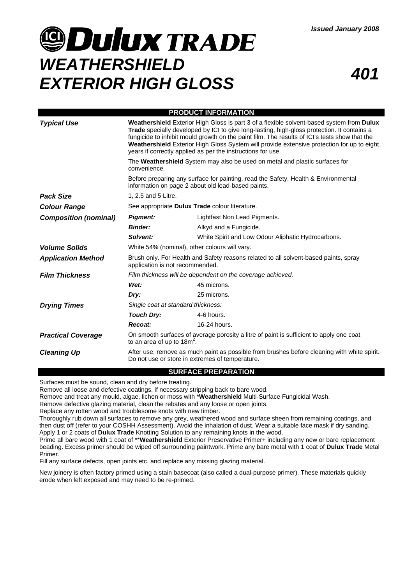# **@Dulux TRADE** *WEATHERSHIELD EXTERIOR HIGH GLOSS <sup>401</sup>*

| <b>PRODUCT INFORMATION</b>   |                                                                                                                                                                                                                                                                                                                                                                                                                                                                                                                                                                                                                                                                                                   |                                                    |
|------------------------------|---------------------------------------------------------------------------------------------------------------------------------------------------------------------------------------------------------------------------------------------------------------------------------------------------------------------------------------------------------------------------------------------------------------------------------------------------------------------------------------------------------------------------------------------------------------------------------------------------------------------------------------------------------------------------------------------------|----------------------------------------------------|
| <b>Typical Use</b>           | Weathershield Exterior High Gloss is part 3 of a flexible solvent-based system from Dulux<br>Trade specially developed by ICI to give long-lasting, high-gloss protection. It contains a<br>fungicide to inhibit mould growth on the paint film. The results of ICI's tests show that the<br>Weathershield Exterior High Gloss System will provide extensive protection for up to eight<br>years if correctly applied as per the instructions for use.<br>The Weathershield System may also be used on metal and plastic surfaces for<br>convenience.<br>Before preparing any surface for painting, read the Safety, Health & Environmental<br>information on page 2 about old lead-based paints. |                                                    |
|                              |                                                                                                                                                                                                                                                                                                                                                                                                                                                                                                                                                                                                                                                                                                   |                                                    |
|                              |                                                                                                                                                                                                                                                                                                                                                                                                                                                                                                                                                                                                                                                                                                   |                                                    |
| <b>Pack Size</b>             | 1. 2.5 and 5 Litre.                                                                                                                                                                                                                                                                                                                                                                                                                                                                                                                                                                                                                                                                               |                                                    |
| <b>Colour Range</b>          | See appropriate Dulux Trade colour literature.                                                                                                                                                                                                                                                                                                                                                                                                                                                                                                                                                                                                                                                    |                                                    |
| <b>Composition (nominal)</b> | <b>Pigment:</b>                                                                                                                                                                                                                                                                                                                                                                                                                                                                                                                                                                                                                                                                                   | Lightfast Non Lead Pigments.                       |
|                              | <b>Binder:</b>                                                                                                                                                                                                                                                                                                                                                                                                                                                                                                                                                                                                                                                                                    | Alkyd and a Fungicide.                             |
|                              | Solvent:                                                                                                                                                                                                                                                                                                                                                                                                                                                                                                                                                                                                                                                                                          | White Spirit and Low Odour Aliphatic Hydrocarbons. |
| <b>Volume Solids</b>         | White 54% (nominal), other colours will vary.                                                                                                                                                                                                                                                                                                                                                                                                                                                                                                                                                                                                                                                     |                                                    |
| <b>Application Method</b>    | Brush only. For Health and Safety reasons related to all solvent-based paints, spray<br>application is not recommended.                                                                                                                                                                                                                                                                                                                                                                                                                                                                                                                                                                           |                                                    |
| <b>Film Thickness</b>        | Film thickness will be dependent on the coverage achieved.                                                                                                                                                                                                                                                                                                                                                                                                                                                                                                                                                                                                                                        |                                                    |
|                              | Wet:                                                                                                                                                                                                                                                                                                                                                                                                                                                                                                                                                                                                                                                                                              | 45 microns.                                        |
|                              | Dry:                                                                                                                                                                                                                                                                                                                                                                                                                                                                                                                                                                                                                                                                                              | 25 microns.                                        |
| <b>Drying Times</b>          | Single coat at standard thickness:                                                                                                                                                                                                                                                                                                                                                                                                                                                                                                                                                                                                                                                                |                                                    |
|                              | <b>Touch Dry:</b>                                                                                                                                                                                                                                                                                                                                                                                                                                                                                                                                                                                                                                                                                 | 4-6 hours.                                         |
|                              | Recoat:                                                                                                                                                                                                                                                                                                                                                                                                                                                                                                                                                                                                                                                                                           | 16-24 hours.                                       |
| <b>Practical Coverage</b>    | On smooth surfaces of average porosity a litre of paint is sufficient to apply one coat<br>to an area of up to $18m^2$ .                                                                                                                                                                                                                                                                                                                                                                                                                                                                                                                                                                          |                                                    |
| <b>Cleaning Up</b>           | After use, remove as much paint as possible from brushes before cleaning with white spirit.<br>Do not use or store in extremes of temperature.                                                                                                                                                                                                                                                                                                                                                                                                                                                                                                                                                    |                                                    |

### **SURFACE PREPARATION**

Surfaces must be sound, clean and dry before treating.

Remove all loose and defective coatings, if necessary stripping back to bare wood.

Remove and treat any mould, algae, lichen or moss with \***Weathershield** Multi-Surface Fungicidal Wash.

Remove defective glazing material, clean the rebates and any loose or open joints.

Replace any rotten wood and troublesome knots with new timber.

Thoroughly rub down all surfaces to remove any grey, weathered wood and surface sheen from remaining coatings, and then dust off (refer to your COSHH Assessment). Avoid the inhalation of dust. Wear a suitable face mask if dry sanding. Apply 1 or 2 coats of **Dulux Trade** Knotting Solution to any remaining knots in the wood.

Prime all bare wood with 1 coat of \*\***Weathershield** Exterior Preservative Primer+ including any new or bare replacement beading. Excess primer should be wiped off surrounding paintwork. Prime any bare metal with 1 coat of **Dulux Trade** Metal Primer.

Fill any surface defects, open joints etc. and replace any missing glazing material.

New joinery is often factory primed using a stain basecoat (also called a dual-purpose primer). These materials quickly erode when left exposed and may need to be re-primed.